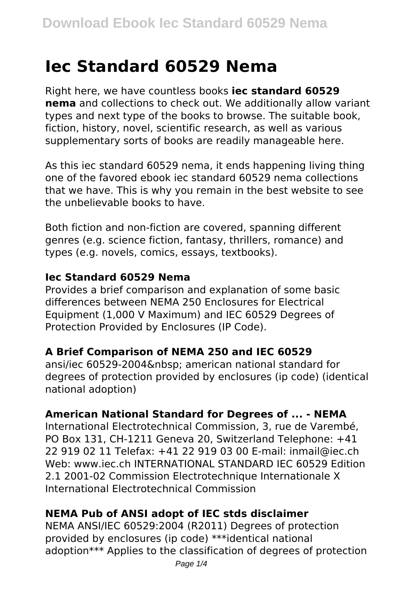# **Iec Standard 60529 Nema**

Right here, we have countless books **iec standard 60529 nema** and collections to check out. We additionally allow variant types and next type of the books to browse. The suitable book, fiction, history, novel, scientific research, as well as various supplementary sorts of books are readily manageable here.

As this iec standard 60529 nema, it ends happening living thing one of the favored ebook iec standard 60529 nema collections that we have. This is why you remain in the best website to see the unbelievable books to have.

Both fiction and non-fiction are covered, spanning different genres (e.g. science fiction, fantasy, thrillers, romance) and types (e.g. novels, comics, essays, textbooks).

#### **Iec Standard 60529 Nema**

Provides a brief comparison and explanation of some basic differences between NEMA 250 Enclosures for Electrical Equipment (1,000 V Maximum) and IEC 60529 Degrees of Protection Provided by Enclosures (IP Code).

### **A Brief Comparison of NEMA 250 and IEC 60529**

ansi/iec 60529-2004&nbsp: american national standard for degrees of protection provided by enclosures (ip code) (identical national adoption)

# **American National Standard for Degrees of ... - NEMA**

International Electrotechnical Commission, 3, rue de Varembé, PO Box 131, CH-1211 Geneva 20, Switzerland Telephone: +41 22 919 02 11 Telefax: +41 22 919 03 00 E-mail: inmail@iec.ch Web: www.iec.ch INTERNATIONAL STANDARD IEC 60529 Edition 2.1 2001-02 Commission Electrotechnique Internationale X International Electrotechnical Commission

# **NEMA Pub of ANSI adopt of IEC stds disclaimer**

NEMA ANSI/IEC 60529:2004 (R2011) Degrees of protection provided by enclosures (ip code) \*\*\*identical national adoption\*\*\* Applies to the classification of degrees of protection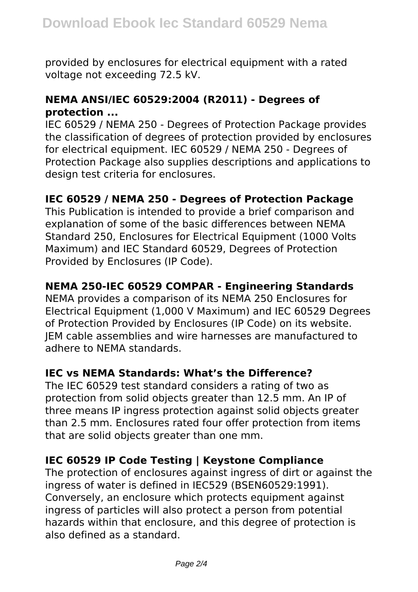provided by enclosures for electrical equipment with a rated voltage not exceeding 72.5 kV.

### **NEMA ANSI/IEC 60529:2004 (R2011) - Degrees of protection ...**

IEC 60529 / NEMA 250 - Degrees of Protection Package provides the classification of degrees of protection provided by enclosures for electrical equipment. IEC 60529 / NEMA 250 - Degrees of Protection Package also supplies descriptions and applications to design test criteria for enclosures.

#### **IEC 60529 / NEMA 250 - Degrees of Protection Package**

This Publication is intended to provide a brief comparison and explanation of some of the basic differences between NEMA Standard 250, Enclosures for Electrical Equipment (1000 Volts Maximum) and IEC Standard 60529, Degrees of Protection Provided by Enclosures (IP Code).

### **NEMA 250-IEC 60529 COMPAR - Engineering Standards**

NEMA provides a comparison of its NEMA 250 Enclosures for Electrical Equipment (1,000 V Maximum) and IEC 60529 Degrees of Protection Provided by Enclosures (IP Code) on its website. JEM cable assemblies and wire harnesses are manufactured to adhere to NEMA standards.

#### **IEC vs NEMA Standards: What's the Difference?**

The IEC 60529 test standard considers a rating of two as protection from solid objects greater than 12.5 mm. An IP of three means IP ingress protection against solid objects greater than 2.5 mm. Enclosures rated four offer protection from items that are solid objects greater than one mm.

### **IEC 60529 IP Code Testing | Keystone Compliance**

The protection of enclosures against ingress of dirt or against the ingress of water is defined in IEC529 (BSEN60529:1991). Conversely, an enclosure which protects equipment against ingress of particles will also protect a person from potential hazards within that enclosure, and this degree of protection is also defined as a standard.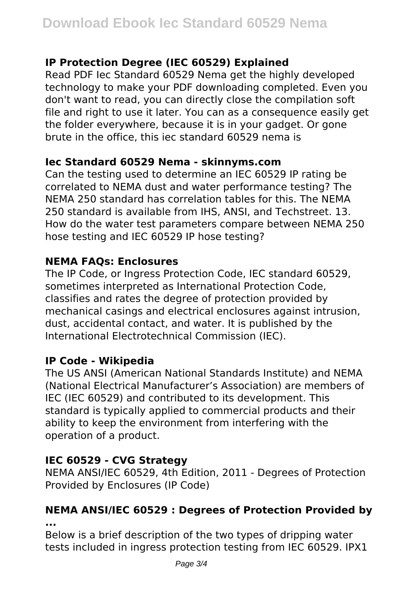## **IP Protection Degree (IEC 60529) Explained**

Read PDF Iec Standard 60529 Nema get the highly developed technology to make your PDF downloading completed. Even you don't want to read, you can directly close the compilation soft file and right to use it later. You can as a consequence easily get the folder everywhere, because it is in your gadget. Or gone brute in the office, this iec standard 60529 nema is

### **Iec Standard 60529 Nema - skinnyms.com**

Can the testing used to determine an IEC 60529 IP rating be correlated to NEMA dust and water performance testing? The NEMA 250 standard has correlation tables for this. The NEMA 250 standard is available from IHS, ANSI, and Techstreet. 13. How do the water test parameters compare between NEMA 250 hose testing and IEC 60529 IP hose testing?

### **NEMA FAQs: Enclosures**

The IP Code, or Ingress Protection Code, IEC standard 60529, sometimes interpreted as International Protection Code, classifies and rates the degree of protection provided by mechanical casings and electrical enclosures against intrusion, dust, accidental contact, and water. It is published by the International Electrotechnical Commission (IEC).

### **IP Code - Wikipedia**

The US ANSI (American National Standards Institute) and NEMA (National Electrical Manufacturer's Association) are members of IEC (IEC 60529) and contributed to its development. This standard is typically applied to commercial products and their ability to keep the environment from interfering with the operation of a product.

### **IEC 60529 - CVG Strategy**

NEMA ANSI/IEC 60529, 4th Edition, 2011 - Degrees of Protection Provided by Enclosures (IP Code)

#### **NEMA ANSI/IEC 60529 : Degrees of Protection Provided by ...**

Below is a brief description of the two types of dripping water tests included in ingress protection testing from IEC 60529. IPX1